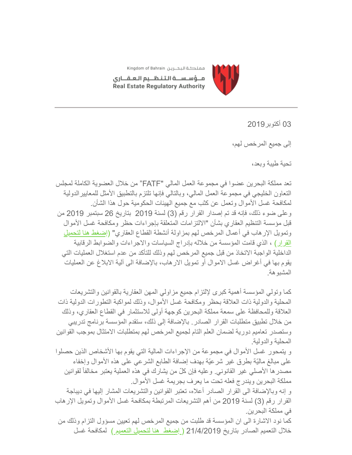

مملكة البحرين Kingdom of Bahrain

مــؤسـســة الـتـنـظــيم الـعـقـــارى Real Estate Regulatory Authority

03 أكتوبر2019

إلى جمیع المرخص لھم،

تحیة طیبة وبعد،

تعد مملكة البحرین عضوا في مجموعة العمل المالي "FATF "من خلال العضویة الكاملة لمجلس التعاون الخلیجي في مجموعة العمل المالي، وبالتالي فإنھا تلتزم بالتطبیق الأمثل للمعاییرالدولیة لمكافحة غسل الأموال وتعمل عن كثب مع جمیع الھیئات الحكومیة حول ھذا الشأن. وعلى ضوء ذلك، فإنھ قد تم إصدار القرار رقم (3) لسنة 2019 بتاریخ 26 سبتمبر 2019 من قبل مؤسسة التنظیم العقاري بشأن "الالتزامات المتعلقة بإجراءات حظر ومكافحة غسل الأموال [وتمویل الإرھاب في أعمال المرخص لھم بمزاولة أنشطة القطاع العقاري" \(إضغط ھنا لتحمیل](https://www.rera.gov.bh/Media/downloads/laws/Resolution_No_3_of_2019_on_Anti-Money_Laundering(AR).pdf) القرار) ، الذي قامت المؤسسة من خلالھ بإدراج السیاسات والاجراءات والضوابط الرقابیة الداخلیة الواجبة الاتخاذ من قبل جمیع المرخص لھم وذلك للتأكد من عدم استغلال العملیات التي یقوم بھا في أغراض غسل الاموال أو تمویل الارھاب، بالإضافة الى آلیة الابلاغ عن العملیات المشبوھة.

كما وتولي المؤسسة أھمیة كبرى لإلتزام جمیع مزاولي المھن العقاریة بالقوانین والتشریعات المحلیة والدولیة ذات العلاقة بحظر ومكافحة غسل الأموال، وذلك لمواكبة التطورات الدولیة ذات العلاقة وللمحافظة على سمعة مملكة البحرین كوجھة أولى للاستثمار في القطاع العقاري، وذلك من خلال تطبیق متطلبات القرار الصادر. بالإضافة إلى ذلك، ستقدم المؤسسة برنامج تدریبي وستصدر تعامیم دوریة لضمان العلم التام لجمیع المرخص لھم بمتطلبات الامتثال بموجب القوانین المحلیة والدولیة.

و یتمحور غسل الأموال في مجموعة من الإجراءات المالیة التي یقوم بھا الأشخاص الذین حصلوا على مبالغ مالیّة بطرق غیر شرعیّة بھدف إضافة الطابع الشرعي على ھذه الأموال وإخفاء ّ مصدرھا الأصلي غیر القانوني. وعلیھ فإن كل من یشارك في ھذه العملیة یعتبر مخالفاً لقوانین مملكة البحرین ویندرج فعلھ تحت ما یعرف بجریمة غسل الأموال.

و إنھ وبالإضافة الى القرار الصادر أعلاه، تعتبر القوانین والتشریعات المشار إلیھا في دیباجة القرار رقم (3) لسنة 2019 من أھم التشریعات المرتبطة بمكافحة غسل الأموال وتمویل الإرھاب في مملكة البحرین.

كما نود الاشارة الى ان المؤسسة قد طلبت من جمیع المرخص لھم تعیین مسؤول التزام وذلك من خلال التعمیم الصادر بتاریخ 21/4/2019 [\( إضغط ھنا لتحمیل التعمیم \)](https://gallery.mailchimp.com/19ee4dd5d83746dcf3a98ff0f/files/36d86cc8-7271-4b3a-8e6e-67b8ed447c40/Circular_21April19.pdf) لمكافحة غسل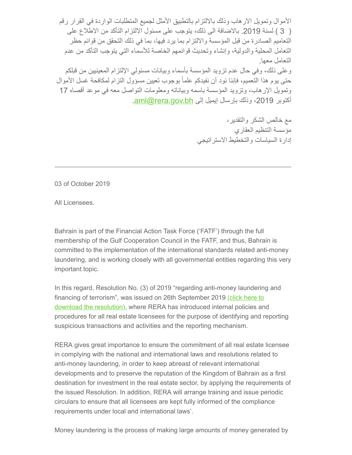الأموال وتمویل الارھاب وذلك بالالتزام بالتطبیق الأمثل لجمیع المتطلبات الواردة في القرار رقم ( 3 ) لسنة .2019 بالاضافة الى ذلك، یتوجب على مسئول الالتزام التأكد من الاطلاع على التعامیم الصادرة من قبل المؤسسة والالتزام بما یرد فیھا، بما في ذلك التحقق من قوائم حظر التعامل المحلیة والدولیة، وإنشاء وتحدیث قوائمھم الخاصة للأسماء التي یتوجب التأكد من عدم التعامل معھا. وعلى ذلك، وفي حال عدم تزوید المؤسسة بأسماء وبیانات مسئولي الإلتزام المعینیین من قبلكم حتى یوم ھذا التعمیم، فإننا نود أن نفیدكم علماً بوجوب تعیین مسؤول التزام لمكافحة غسل الأموال وتمویل الإرھاب، وتزوید المؤسسة باسمھ وبیاناتھ ومعلومات التواصل معھ في موعد أقصاه 17 أكتوبر 2019، وذلك بإرسال إيميل إلى aml@rera.gov.bh.

> مع خالص الشكر والتقدیر، مؤسسة التنظیم العقاري إدارة السیاسات والتخطیط الاستراتیجي

03 of October 2019

All Licensees.

Bahrain is part of the Financial Action Task Force ('FATF') through the full membership of the Gulf Cooperation Council in the FATF, and thus, Bahrain is committed to the implementation of the international standards related anti-money laundering, and is working closely with all governmental entities regarding this very important topic.

In this regard, Resolution No. (3) of 2019 "regarding anti-money laundering and [financing of terrorism", was issued on 26th September 2019 \(click here to](https://www.rera.gov.bh/Media/downloads/laws/Resolution_No_3_of_2019_on_Anti-Money_Laundering(AR).pdf) download the resolution), where RERA has introduced internal policies and procedures for all real estate licensees for the purpose of identifying and reporting suspicious transactions and activities and the reporting mechanism.

RERA gives great importance to ensure the commitment of all real estate licensee in complying with the national and international laws and resolutions related to anti-money laundering, in order to keep abreast of relevant international developments and to preserve the reputation of the Kingdom of Bahrain as a first destination for investment in the real estate sector, by applying the requirements of the issued Resolution. In addition, RERA will arrange training and issue periodic circulars to ensure that all licensees are kept fully informed of the compliance requirements under local and international laws'.

Money laundering is the process of making large amounts of money generated by